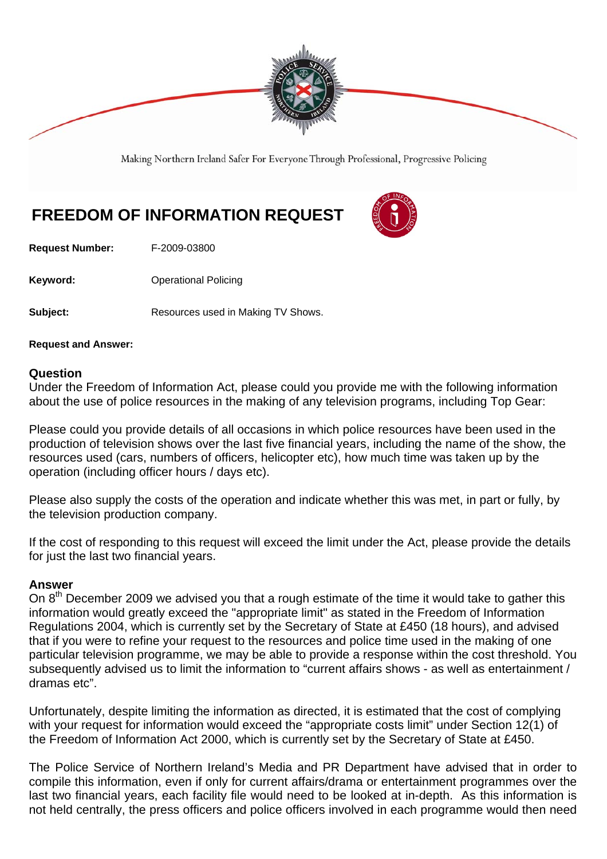

Making Northern Ireland Safer For Everyone Through Professional, Progressive Policing

## **FREEDOM OF INFORMATION REQUEST**

**Request Number:** F-2009-03800

**Keyword: C** Operational Policing

**Subject:** Resources used in Making TV Shows.

**Request and Answer:** 

## **Question**

Under the Freedom of Information Act, please could you provide me with the following information about the use of police resources in the making of any television programs, including Top Gear:

Please could you provide details of all occasions in which police resources have been used in the production of television shows over the last five financial years, including the name of the show, the resources used (cars, numbers of officers, helicopter etc), how much time was taken up by the operation (including officer hours / days etc).

Please also supply the costs of the operation and indicate whether this was met, in part or fully, by the television production company.

If the cost of responding to this request will exceed the limit under the Act, please provide the details for just the last two financial years.

## **Answer**

On  $8<sup>th</sup>$  December 2009 we advised you that a rough estimate of the time it would take to gather this information would greatly exceed the "appropriate limit" as stated in the Freedom of Information Regulations 2004, which is currently set by the Secretary of State at £450 (18 hours), and advised that if you were to refine your request to the resources and police time used in the making of one particular television programme, we may be able to provide a response within the cost threshold. You subsequently advised us to limit the information to "current affairs shows - as well as entertainment / dramas etc".

Unfortunately, despite limiting the information as directed, it is estimated that the cost of complying with your request for information would exceed the "appropriate costs limit" under Section 12(1) of the Freedom of Information Act 2000, which is currently set by the Secretary of State at £450.

The Police Service of Northern Ireland's Media and PR Department have advised that in order to compile this information, even if only for current affairs/drama or entertainment programmes over the last two financial years, each facility file would need to be looked at in-depth. As this information is not held centrally, the press officers and police officers involved in each programme would then need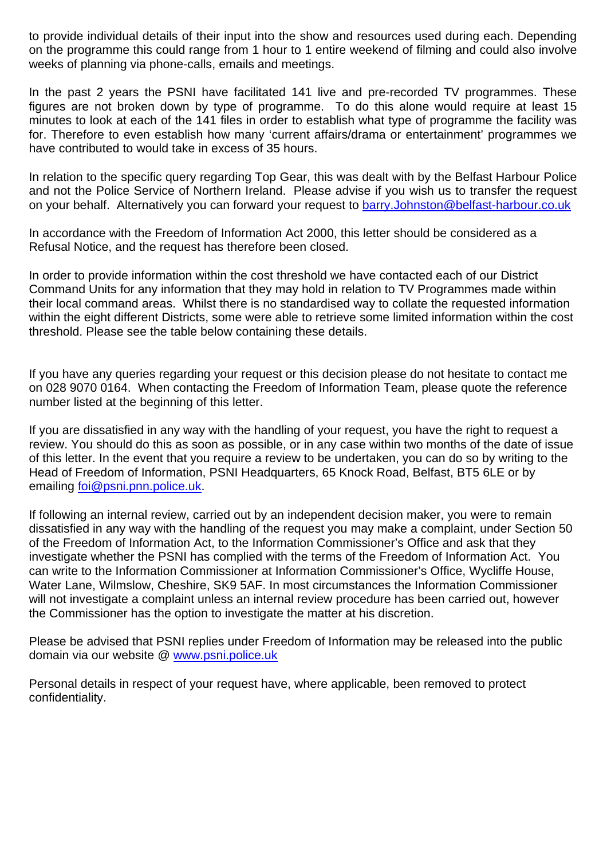to provide individual details of their input into the show and resources used during each. Depending on the programme this could range from 1 hour to 1 entire weekend of filming and could also involve weeks of planning via phone-calls, emails and meetings.

In the past 2 years the PSNI have facilitated 141 live and pre-recorded TV programmes. These figures are not broken down by type of programme. To do this alone would require at least 15 minutes to look at each of the 141 files in order to establish what type of programme the facility was for. Therefore to even establish how many 'current affairs/drama or entertainment' programmes we have contributed to would take in excess of 35 hours.

In relation to the specific query regarding Top Gear, this was dealt with by the Belfast Harbour Police and not the Police Service of Northern Ireland. Please advise if you wish us to transfer the request on your behalf. Alternatively you can forward your request to barry.Johnston@belfast-harbour.co.uk

In accordance with the Freedom of Information Act 2000, this letter should be considered as a Refusal Notice, and the request has therefore been closed.

In order to provide information within the cost threshold we have contacted each of our District Command Units for any information that they may hold in relation to TV Programmes made within their local command areas. Whilst there is no standardised way to collate the requested information within the eight different Districts, some were able to retrieve some limited information within the cost threshold. Please see the table below containing these details.

If you have any queries regarding your request or this decision please do not hesitate to contact me on 028 9070 0164. When contacting the Freedom of Information Team, please quote the reference number listed at the beginning of this letter.

If you are dissatisfied in any way with the handling of your request, you have the right to request a review. You should do this as soon as possible, or in any case within two months of the date of issue of this letter. In the event that you require a review to be undertaken, you can do so by writing to the Head of Freedom of Information, PSNI Headquarters, 65 Knock Road, Belfast, BT5 6LE or by emailing foi@psni.pnn.police.uk.

If following an internal review, carried out by an independent decision maker, you were to remain dissatisfied in any way with the handling of the request you may make a complaint, under Section 50 of the Freedom of Information Act, to the Information Commissioner's Office and ask that they investigate whether the PSNI has complied with the terms of the Freedom of Information Act. You can write to the Information Commissioner at Information Commissioner's Office, Wycliffe House, Water Lane, Wilmslow, Cheshire, SK9 5AF. In most circumstances the Information Commissioner will not investigate a complaint unless an internal review procedure has been carried out, however the Commissioner has the option to investigate the matter at his discretion.

Please be advised that PSNI replies under Freedom of Information may be released into the public domain via our website @ www.psni.police.uk

Personal details in respect of your request have, where applicable, been removed to protect confidentiality.